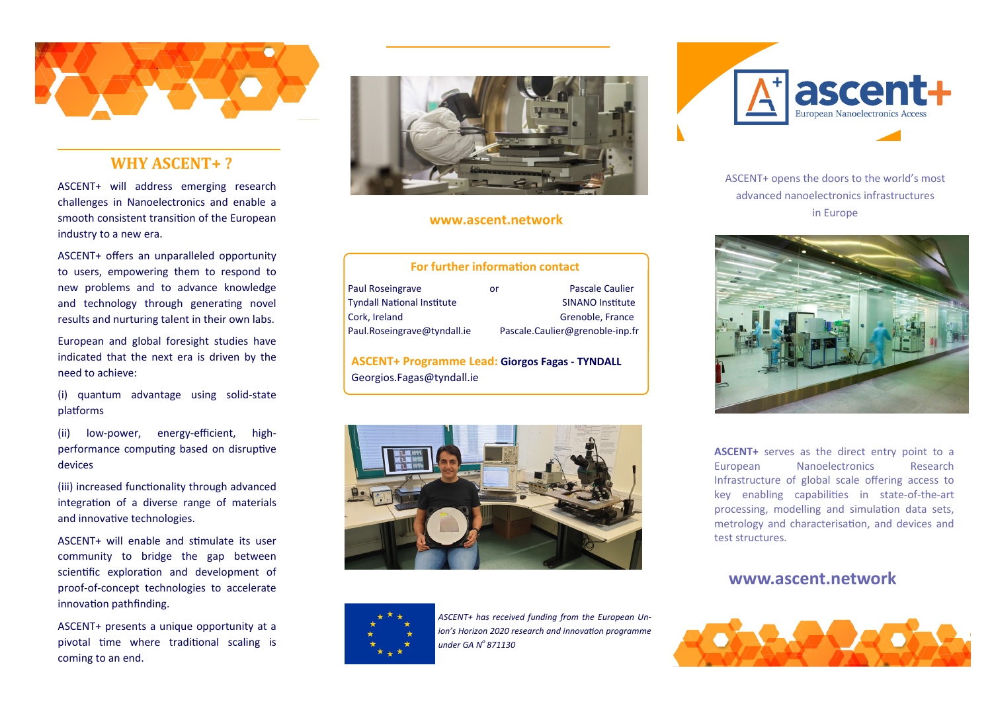

## **WHY ASCENT+ ?**

ASCENT+ will address emerging research challenges in Nanoelectronics and enable a smooth consistent transition of the European industry to a new era.

ASCENT+ offers an unparalleled opportunity to users, empowering them to respond to new problems and to advance knowledge and technology through generating novel results and nurturing talent in their own labs.

European and global foresight studies have indicated that the next era is driven by the need to achieve:

(i) quantum advantage using solid-state platforms

(ii) low-power, energy-efficient, highperformance computing based on disruptive devices

(iii) increased functionality through advanced integration of a diverse range of materials and innovative technologies.

ASCENT+ will enable and sƟmulate its user community to bridge the gap between scientific exploration and development of proof-of-concept technologies to accelerate innovation pathfinding.

ASCENT+ presents a unique opportunity at a pivotal time where traditional scaling is coming to an end.



#### **www.ascent.network**

#### **For further informaƟon contact**

| or | <b>Pascale Caulier</b>          |
|----|---------------------------------|
|    | <b>SINANO Institute</b>         |
|    | Grenoble, France                |
|    | Pascale.Caulier@grenoble-inp.fr |
|    |                                 |

**ASCENT+ Programme Lead: Giorgos Fagas - TYNDALL**  Georgios.Fagas@tyndall.ie





*ASCENT+ has received funding from the European Un*ion's Horizon 2020 research and innovation programme *under GA No 871130* 



ASCENT+ opens the doors to the world's most advanced nanoelectronics infrastructures in Europe



**ASCENT+** serves as the direct entry point to a European Nanoelectronics Research Infrastructure of global scale offering access to key enabling capabilities in state-of-the-art processing, modelling and simulation data sets, metrology and characterisation, and devices and test structures.

## **www.ascent.network**